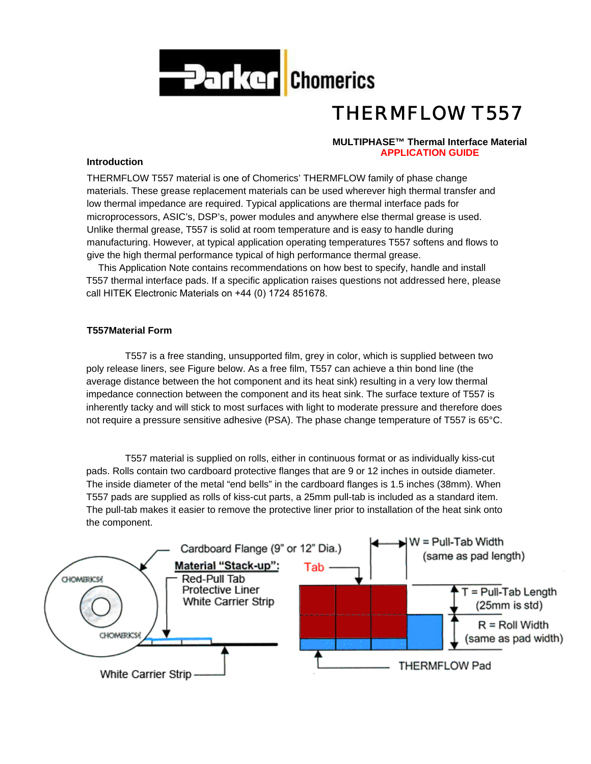

# *THERMFLOW T557*

# **MULTIPHASE™ Thermal Interface Material APPLICATION GUIDE**

# **Introduction**

THERMFLOW T557 material is one of Chomerics' THERMFLOW family of phase change materials. These grease replacement materials can be used wherever high thermal transfer and low thermal impedance are required. Typical applications are thermal interface pads for microprocessors, ASIC's, DSP's, power modules and anywhere else thermal grease is used. Unlike thermal grease, T557 is solid at room temperature and is easy to handle during manufacturing. However, at typical application operating temperatures T557 softens and flows to give the high thermal performance typical of high performance thermal grease.

This Application Note contains recommendations on how best to specify, handle and install T557 thermal interface pads. If a specific application raises questions not addressed here, please call HITEK Electronic Materials on +44 (0) 1724 851678.

# **T557Material Form**

T557 is a free standing, unsupported film, grey in color, which is supplied between two poly release liners, see Figure below. As a free film, T557 can achieve a thin bond line (the average distance between the hot component and its heat sink) resulting in a very low thermal impedance connection between the component and its heat sink. The surface texture of T557 is inherently tacky and will stick to most surfaces with light to moderate pressure and therefore does not require a pressure sensitive adhesive (PSA). The phase change temperature of T557 is 65°C.

T557 material is supplied on rolls, either in continuous format or as individually kiss-cut pads. Rolls contain two cardboard protective flanges that are 9 or 12 inches in outside diameter. The inside diameter of the metal "end bells" in the cardboard flanges is 1.5 inches (38mm). When T557 pads are supplied as rolls of kiss-cut parts, a 25mm pull-tab is included as a standard item. The pull-tab makes it easier to remove the protective liner prior to installation of the heat sink onto the component.

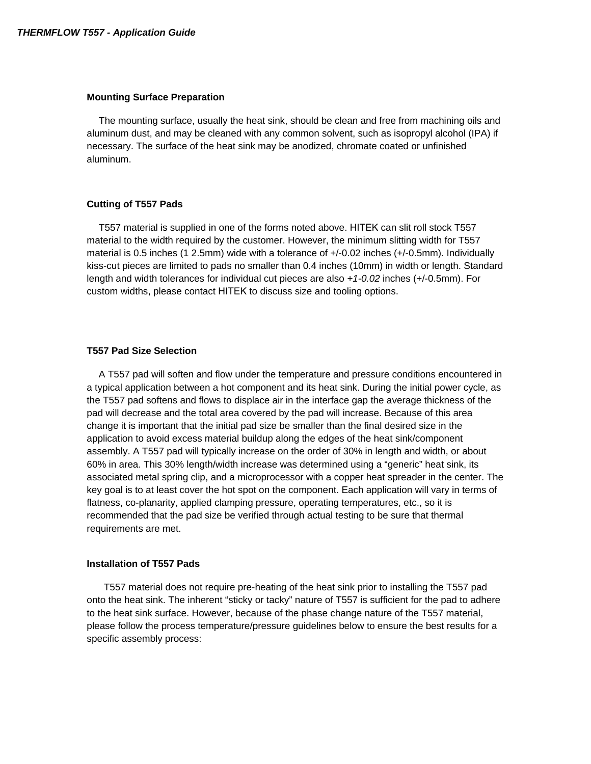#### **Mounting Surface Preparation**

The mounting surface, usually the heat sink, should be clean and free from machining oils and aluminum dust, and may be cleaned with any common solvent, such as isopropyl alcohol (IPA) if necessary. The surface of the heat sink may be anodized, chromate coated or unfinished aluminum.

#### **Cutting of T557 Pads**

T557 material is supplied in one of the forms noted above. HITEK can slit roll stock T557 material to the width required by the customer. However, the minimum slitting width for T557 material is 0.5 inches (1 2.5mm) wide with a tolerance of +/-0.02 inches (+/-0.5mm). Individually kiss-cut pieces are limited to pads no smaller than 0.4 inches (10mm) in width or length. Standard length and width tolerances for individual cut pieces are also *+1-0.02* inches (+/-0.5mm). For custom widths, please contact HITEK to discuss size and tooling options.

#### **T557 Pad Size Selection**

A T557 pad will soften and flow under the temperature and pressure conditions encountered in a typical application between a hot component and its heat sink. During the initial power cycle, as the T557 pad softens and flows to displace air in the interface gap the average thickness of the pad will decrease and the total area covered by the pad will increase. Because of this area change it is important that the initial pad size be smaller than the final desired size in the application to avoid excess material buildup along the edges of the heat sink/component assembly. A T557 pad will typically increase on the order of 30% in length and width, or about 60% in area. This 30% length/width increase was determined using a "generic" heat sink, its associated metal spring clip, and a microprocessor with a copper heat spreader in the center. The key goal is to at least cover the hot spot on the component. Each application will vary in terms of flatness, co-planarity, applied clamping pressure, operating temperatures, etc., so it is recommended that the pad size be verified through actual testing to be sure that thermal requirements are met.

#### **Installation of T557 Pads**

T557 material does not require pre-heating of the heat sink prior to installing the T557 pad onto the heat sink. The inherent "sticky or tacky" nature of T557 is sufficient for the pad to adhere to the heat sink surface. However, because of the phase change nature of the T557 material, please follow the process temperature/pressure guidelines below to ensure the best results for a specific assembly process: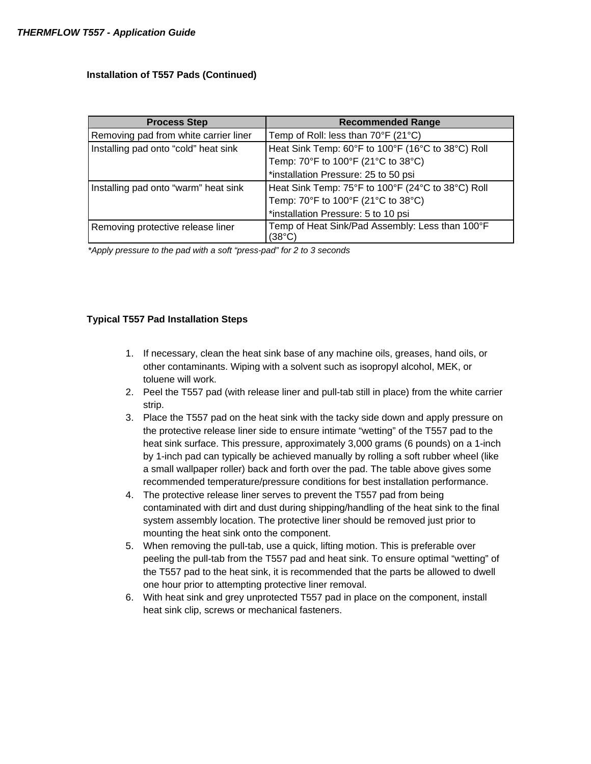# **Installation of T557 Pads (Continued)**

| <b>Process Step</b>                   | <b>Recommended Range</b>                                 |
|---------------------------------------|----------------------------------------------------------|
| Removing pad from white carrier liner | Temp of Roll: less than $70^{\circ}$ F (21 $^{\circ}$ C) |
| Installing pad onto "cold" heat sink  | Heat Sink Temp: 60°F to 100°F (16°C to 38°C) Roll        |
|                                       | Temp: 70°F to 100°F (21°C to 38°C)                       |
|                                       | *installation Pressure: 25 to 50 psi                     |
| Installing pad onto "warm" heat sink  | Heat Sink Temp: 75°F to 100°F (24°C to 38°C) Roll        |
|                                       | Temp: 70°F to 100°F (21°C to 38°C)                       |
|                                       | *installation Pressure: 5 to 10 psi                      |
| Removing protective release liner     | Temp of Heat Sink/Pad Assembly: Less than 100°F          |
|                                       | (38°C)                                                   |

*\*Apply pressure to the pad with a soft "press-pad" for 2 to 3 seconds* 

# **Typical T557 Pad Installation Steps**

- 1. If necessary, clean the heat sink base of any machine oils, greases, hand oils, or other contaminants. Wiping with a solvent such as isopropyl alcohol, MEK, or toluene will work.
- 2. Peel the T557 pad (with release liner and pull-tab still in place) from the white carrier strip.
- 3. Place the T557 pad on the heat sink with the tacky side down and apply pressure on the protective release liner side to ensure intimate "wetting" of the T557 pad to the heat sink surface. This pressure, approximately 3,000 grams (6 pounds) on a 1-inch by 1-inch pad can typically be achieved manually by rolling a soft rubber wheel (like a small wallpaper roller) back and forth over the pad. The table above gives some recommended temperature/pressure conditions for best installation performance.
- 4. The protective release liner serves to prevent the T557 pad from being contaminated with dirt and dust during shipping/handling of the heat sink to the final system assembly location. The protective liner should be removed just prior to mounting the heat sink onto the component.
- 5. When removing the pull-tab, use a quick, lifting motion. This is preferable over peeling the pull-tab from the T557 pad and heat sink. To ensure optimal "wetting" of the T557 pad to the heat sink, it is recommended that the parts be allowed to dwell one hour prior to attempting protective liner removal.
- 6. With heat sink and grey unprotected T557 pad in place on the component, install heat sink clip, screws or mechanical fasteners.